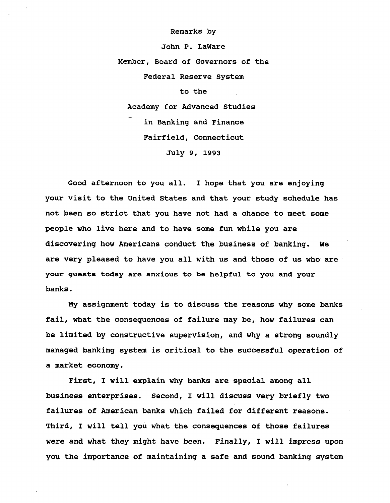**Remarks by**

**John P. LaWare Member, Board of Governors of the Federal Reserve System to the Academy for Advanced Studies in Banking and Finance Fairfield, Connecticut July 9, 1993**

**Good afternoon to you all. I hope that you are enjoying your visit to the United States and that your study schedule has not been so strict that you have not had a chance to meet some people who live here and to have some fun while you are discovering how Americans conduct the business of banking. We are very pleased to have you all with us and those of us who are your guests today are anxious to be helpful to you and your banks.**

**My assignment today is to discuss the reasons why some banks fail, what the consequences of failure may be, how failures can be limited by constructive supervision, and why a strong soundly managed banking system is critical to the successful operation of a market economy.**

**First, I will explain why banks are special among all business enterprises. Second, I will discuss very briefly two failures of American banks which failed for different reasons. Third, I will tell you what the consequences of those failures were and what they might have been. Finally, I will impress upon you the importance of maintaining a safe and sound banking system**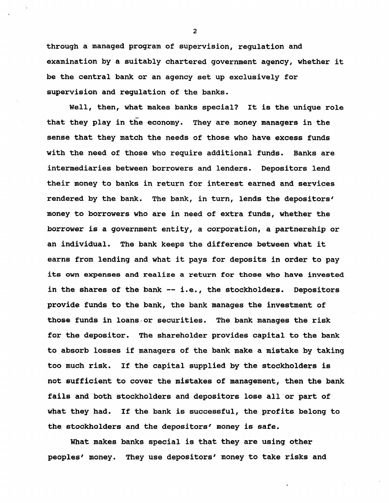**through a managed program of supervision, regulation and examination by a suitably chartered government agency, whether it be the central bank or an agency set up exclusively for supervision and regulation of the banks.**

**Well, then, what makes banks special? It is the unique role that they play in the economy. They are money managers in the sense that they match the needs of those who have excess funds with the need of those who require additional funds. Banks are intermediaries between borrowers and lenders. Depositors lend their money to banks in return for interest earned and services rendered by the bank. The bank, in turn, lends the depositors' money to borrowers who are in need of extra funds, whether the borrower is a government entity, a corporation, a partnership or an individual. The bank keeps the difference between what it earns from lending and what it pays for deposits in order to pay its own expenses and realize a return for those who have invested in the shares of the bank — i.e., the stockholders. Depositors provide funds to the bank, the bank manages the investment of those funds in loans or securities. The bank manages the risk for the depositor. The shareholder provides capital to the bank to absorb losses if managers of the bank make a mistake by taking too much risk. If the capital supplied by the stockholders is not sufficient to cover the mistakes of management, then the bank fails and both stockholders and depositors lose all or part of what they had. If the bank is successful, the profits belong to the stockholders and the depositors' money is safe.**

**What makes banks special is that they are using other peoples' money. They use depositors' money to take risks and**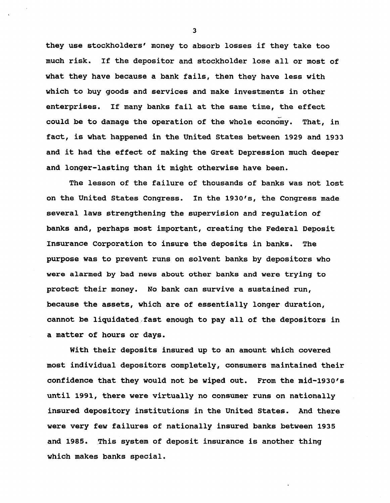**they use stockholders' money to absorb losses if they take too much risk. If the depositor and stockholder lose all or most of what they have because a bank fails, then they have less with which to buy goods and services and make investments in other enterprises. If many banks fail at the same time, the effect could be to damage the operation of the whole economy. That, in fact, is what happened in the United States between 1929 and 1933 and it had the effect of making the Great Depression much deeper and longer-lasting than it might otherwise have been.**

**The lesson of the failure of thousands of banks was not lost on the United States Congress. In the 1930's, the Congress made several laws strengthening the supervision and regulation of banks and, perhaps most important, creating the Federal Deposit Insurance Corporation to insure the deposits in banks. The purpose was to prevent runs on solvent banks by depositors who were alarmed by bad news about other banks and were trying to protect their money. No bank can survive a sustained run, because the assets, which are of essentially longer duration, cannot be liquidated fast enough to pay all of the depositors in a matter of hours or days.**

**With their deposits insured up to an amount which covered most individual depositors completely, consumers maintained their confidence that they would not be wiped out. From the mid-1930's until 1991, there were virtually no consumer runs on nationally insured depository institutions in the United States. And there were very few failures of nationally insured banks between 1935 and 1985. This system of deposit insurance is another thing which makes banks special.**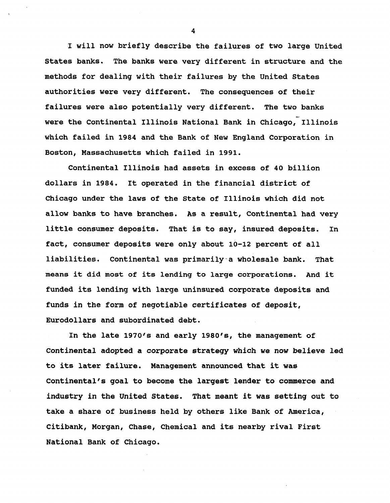**I will now briefly describe the failures of two large United States banks. The banks were very different in structure and the methods for dealing with their failures by the United States authorities were very different. The consequences of their failures were also potentially very different. The two banks were the Continental Illinois National Bank in Chicago, Illinois which failed in 1984 and the Bank of New England Corporation in Boston, Massachusetts which failed in 1991.**

**Continental Illinois had assets in excess of 40 billion dollars in 1984. It operated in the financial district of Chicago under the laws of the State of Illinois which did not allow banks to have branches. As a result, Continental had very little consumer deposits. That is to say, insured deposits. In fact, consumer deposits were only about 10-12 percent of all liabilities. Continental was primarily a wholesale bank. That means it did most of its lending to large corporations. And it funded its lending with large uninsured corporate deposits and funds in the form of negotiable certificates of deposit, Eurodollars and subordinated debt.**

**In the late 1970's and early 1980's, the management of Continental adopted a corporate strategy which we now believe led to its later failure. Management announced that it was Continental's goal to become the largest lender to commerce and industry in the United States. That meant it was setting out to take a share of business held by others like Bank of America, Citibank, Morgan, Chase, Chemical and its nearby rival First National Bank of Chicago.**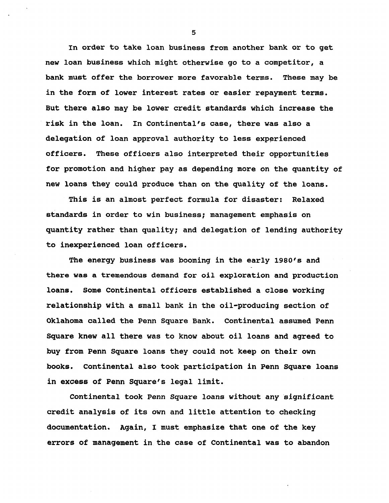**In order to take loan business from another bank or to get new loan business which might otherwise go to a competitor, a bank must offer the borrower more favorable terms. These may be in the form of lower interest rates or easier repayment terms. But there also may be lower credit standards which increase the risk in the loan. In Continental's case, there was also a delegation of loan approval authority to less experienced officers. These officers also interpreted their opportunities for promotion and higher pay as depending more on the quantity of new loans they could produce than on the quality of the loans.**

**This is an almost perfect formula for disaster: Relaxed standards in order to win business; management emphasis on quantity rather than quality; and delegation of lending authority to inexperienced loan officers.**

**The energy business was booming in the early 1980's and there was a tremendous demand for oil exploration and production loans. Some Continental officers established a close working relationship with a small bank in the oil-producing section of Oklahoma called the Penn Square Bank. Continental assumed Penn Square knew all there was to know about oil loans and agreed to buy from Penn Square loans they could not keep on their own books. Continental also took participation in Penn Square loans in excess of Penn Square's legal limit.**

**Continental took Penn Square loans without any significant credit analysis of its own and little attention to checking documentation. Again, I must emphasize that one of the key errors of management in the case of Continental was to abandon**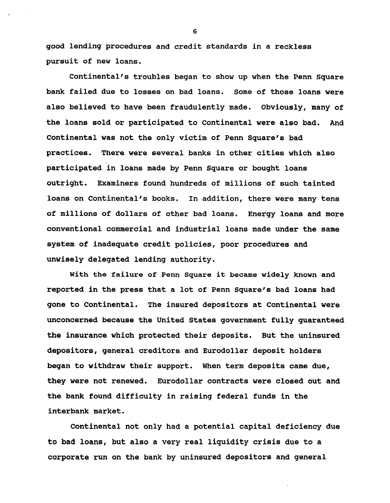**good lending procedures and credit standards in a reckless pursuit of new loans.**

**Continental's troubles began to show up when the Penn Square bank failed due to losses on bad loans. Some of those loans were also believed to have been fraudulently made. Obviously, many of the loans sold or participated to Continental were also bad. And Continental was not the only victim of Penn Square's bad practices. There were several banks in other cities which also participated in loans made by Penn Square or bought loans outright. Examiners found hundreds of millions of such tainted loans on Continental's books. In addition, there were many tens of millions of dollars of other bad loans. Energy loans and more conventional commercial and industrial loans made under the same system of inadequate credit policies, poor procedures and unwisely delegated lending authority.**

**With the failure of Penn Square it became widely known and reported in the press that a lot of Penn Square's bad loans had gone to Continental. The insured depositors at Continental were unconcerned because the United States government fully guaranteed the insurance which protected their deposits. But the uninsured depositors, general creditors and Eurodollar deposit holders began to withdraw their support. When term deposits came due, they were not renewed. Eurodollar contracts were closed out and the bank found difficulty in raising federal funds in the interbank market.**

**Continental not only had a potential capital deficiency due to bad loans, but also a very real liquidity crisis due to a corporate run on the bank by uninsured depositors and general**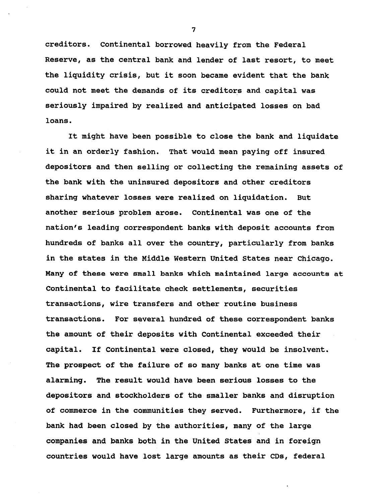**creditors. Continental borrowed heavily from the Federal Reserve, as the central bank and lender of last resort, to meet the liquidity crisis, but it soon became evident that the bank could not meet the demands of its creditors and capital was seriously impaired by realized and anticipated losses on bad loans.**

**It might have been possible to close the bank and liquidate it in an orderly fashion. That would mean paying off insured depositors and then selling or collecting the remaining assets of the bank with the uninsured depositors and other creditors sharing whatever losses were realized on liquidation. But another serious problem arose. Continental was one of the nation's leading correspondent banks with deposit accounts from hundreds of banks all over the country, particularly from banks in the states in the Middle Western United States near Chicago. Many of these were small banks which maintained large accounts at Continental to facilitate check settlements, securities transactions, wire transfers and other routine business transactions. For several hundred of these correspondent banks the amount of their deposits with Continental exceeded their capital. If Continental were closed, they would be insolvent. The prospect of the failure of so many banks at one time was alarming. The result would have been serious losses to the depositors and stockholders of the smaller banks and disruption of commerce in the communities they served. Furthermore, if the bank had been closed by the authorities, many of the large companies and banks both in the United States and in foreign countries would have lost large amounts as their CDs, federal**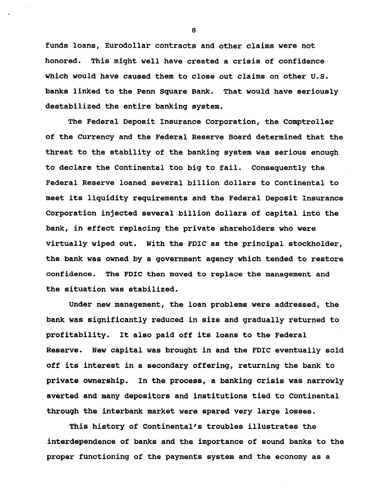**funds loans, Eurodollar contracts and other claims were not honored. This might well have created a crisis of confidence which would have caused them to close out claims on other U.S. banks linked to the Penn Square Bank. That would have seriously destabilized the entire banking system.**

**The Federal Deposit Insurance Corporation, the Comptroller of the Currency and the Federal Reserve Board determined that the threat to the stability of the banking system was serious enough to declare the Continental too big to fail. Consequently the Federal Reserve loaned several billion dollars to Continental to meet its liquidity requirements and the Federal Deposit Insurance Corporation injected several billion dollars of capital into the bank, in effect replacing the private shareholders who were virtually wiped out. With the FDIC as the principal stockholder, the bank was owned by a government agency which tended to restore confidence. The FDIC then moved to replace the management and the situation was stabilized.**

**Under new management, the loan problems were addressed, the bank was significantly reduced in size and gradually returned to profitability. It also paid off its loans to the Federal Reserve. New capital was brought in and the FDIC eventually sold off its interest in a secondary offering, returning the bank to private ownership. In the process, a banking crisis was narrowly averted and many depositors and institutions tied to Continental through the interbank market were spared very large losses.**

**This history of Continental's troubles illustrates the interdependence of banks and the importance of sound banks to the proper functioning of the payments system and the economy as a**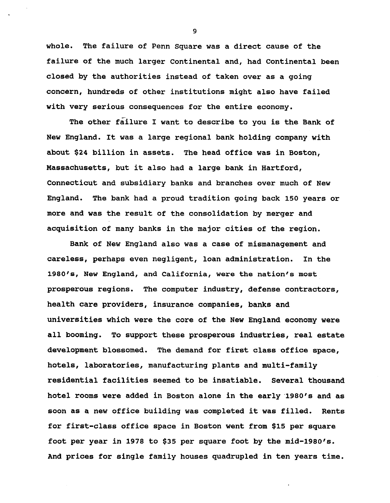**whole. The failure of Penn Square was a direct cause of the failure of the much larger Continental and, had Continental been closed by the authorities instead of taken over as a going concern, hundreds of other institutions might also have failed with very serious consequences for the entire economy.**

**The other failure I want to describe to you is the Bank of New England. It was a large regional bank holding company with about \$24 billion in assets. The head office was in Boston, Massachusetts, but it also had a large bank in Hartford, Connecticut and subsidiary banks and branches over much of New England. The bank had a proud tradition going back 150 years or more and was the result of the consolidation by merger and acquisition of many banks in the major cities of the region.**

**Bank of New England also was a case of mismanagement and careless, perhaps even negligent, loan administration. In the 1980's, New England, and California, were the nation's most prosperous regions. The computer industry, defense contractors, health care providers, insurance companies, banks and universities which were the core of the New England economy were all booming. To support these prosperous industries, real estate development blossomed. The demand for first class office space, hotels, laboratories, manufacturing plants and multi-family residential facilities seemed to be insatiable. Several thousand hotel rooms were added in Boston alone in the early 1980's and as soon as a new office building was completed it was filled. Rents for first-class office space in Boston went from \$15 per square foot per year in 1978 to \$35 per square foot by the mid-1980's. And prices for single family houses quadrupled in ten years time.**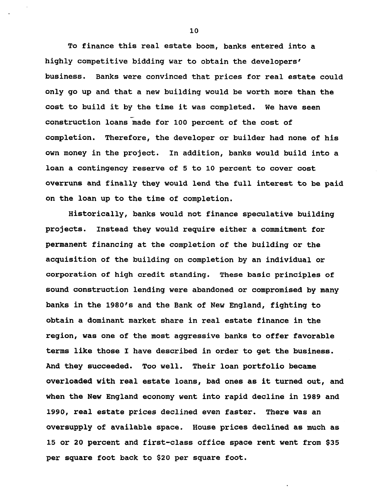**To finance this real estate boom, banks entered into a highly competitive bidding war to obtain the developers' business. Banks were convinced that prices for real estate could only go up and that a new building would be worth more than the cost to build it by the time it was completed. We have seen construction loans made for 100 percent of the cost of completion. Therefore, the developer or builder had none of his own money in the project. In addition, banks would build into a loan a contingency reserve of 5 to 10 percent to cover cost overruns and finally they would lend the full interest to be paid on the loan up to the time of completion.**

**Historically, banks would not finance speculative building projects. Instead they would require either a commitment for permanent financing at the completion of the building or the acquisition of the building on completion by an individual or corporation of high credit standing. These basic principles of sound construction lending were abandoned or compromised by many banks in the 1980's and the Bank of New England, fighting to obtain a dominant market share in real estate finance in the region, was one of the most aggressive banks to offer favorable terms like those I have described in order to get the business. And they succeeded. Too well. Their loan portfolio became overloaded with real estate loans, bad ones as it turned out, and when the New England economy went into rapid decline in 1989 and 1990, real estate prices declined even faster. There was an oversupply of available space. House prices declined as much as 15 or 20 percent and first-class office space rent went from \$35 per square foot back to \$20 per square foot.**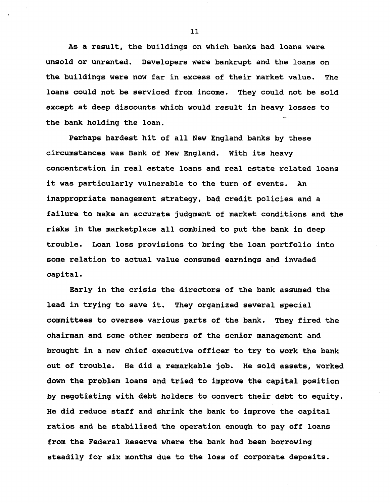**As a result, the buildings on which banks had loans were unsold or unrented. Developers were bankrupt and the loans on the buildings were now far in excess of their market value. The loans could not be serviced from income. They could not be sold except at deep discounts which would result in heavy losses to the bank holding the loan.**

**Perhaps hardest hit of all New England banks by these circumstances was Bank of New England. With its heavy concentration in real estate loans and real estate related loans it was particularly vulnerable to the turn of events. An inappropriate management strategy, bad credit policies and a failure to make an accurate judgment of market conditions and the risks in the marketplace all combined to put the bank in deep trouble. Loan loss provisions to bring the loan portfolio into some relation to actual value consumed earnings and invaded capital.**

**Early in the crisis the directors of the bank assumed the lead in trying to save it. They organized several special committees to oversee various parts of the bank. They fired the chairman and some other members of the senior management and brought in a new chief executive officer to try to work the bank out of trouble. He did a remarkable job. He sold assets, worked down the problem loans and tried to improve the capital position by negotiating with debt holders to convert their debt to equity. He did reduce staff and shrink the bank to improve the capital ratios and he stabilized the operation enough to pay off loans from the Federal Reserve where the bank had been borrowing steadily for six months due to the loss of corporate deposits.**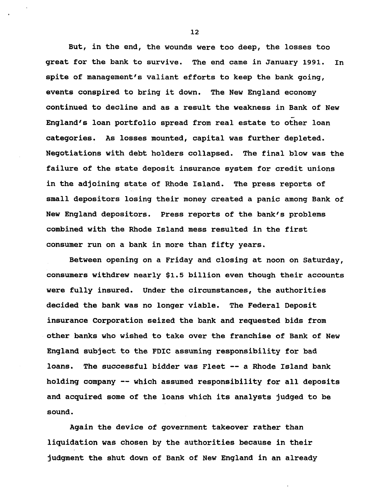**But, in the end, the wounds were too deep, the losses too great for the bank to survive. The end came in January 1991. in spite of management's valiant efforts to keep the bank going, events conspired to bring it down. The New England economy continued to decline and as a result the weakness in Bank of New England's loan portfolio spread from real estate to other loan categories. As losses mounted, capital was further depleted. Negotiations with debt holders collapsed. The final blow was the failure of the state deposit insurance system for credit unions in the adjoining state of Rhode Island. The press reports of small depositors losing their money created a panic among Bank of New England depositors. Press reports of the bank's problems combined with the Rhode Island mess resulted in the first consumer run on a bank in more than fifty years.**

**Between opening on a Friday and closing at noon on Saturday, consumers withdrew nearly \$1.5 billion even though their accounts were fully insured. Under the circumstances, the authorities decided the bank was no longer viable. The Federal Deposit insurance Corporation seized the bank and requested bids from other banks who wished to take over the franchise of Bank of New England subject to the FDIC assuming responsibility for bad loans. The successful bidder was Fleet — a Rhode Island bank holding company — which assumed responsibility for all deposits and acquired some of the loans which its analysts judged to be sound.**

**Again the device of government takeover rather than liquidation was chosen by the authorities because in their judgment the shut down of Bank of New England in an already**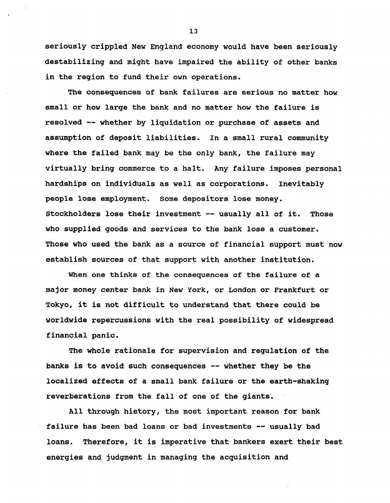**seriously crippled New England economy would have been seriously destabilizing and might have impaired the ability of other banks in the region to fund their own operations.**

**The consequences of bank failures are serious no matter how small or how large the bank and no matter how the failure is resolved — whether by liquidation or purchase of assets and assumption of deposit liabilities. In a small rural community where the failed bank may be the only bank, the failure may virtually bring commerce to a halt. Any failure imposes personal hardships on individuals as well as corporations. Inevitably people lose employment. Some depositors lose money. Stockholders lose their investment — usually all of it. Those who supplied goods and services to the bank lose a customer. Those who used the bank as a source of financial support must now establish sources of that support with another institution.**

**When one thinks of the consequences of the failure of a major money center bank in New York, or London or Frankfurt or Tokyo, it is not difficult to understand that there could be worldwide repercussions with the real possibility of widespread financial panic.**

**The whole rationale for supervision and regulation of the banks is to avoid such consequences — whether they be the localized effects of a small bank failure or the earth-shaking reverberations from the fall of one of the giants.**

**All through history, the most important reason for bank failure has been bad loans or bad investments — usually bad loans. Therefore, it is imperative that bankers exert their best energies and judgment in managing the acquisition and**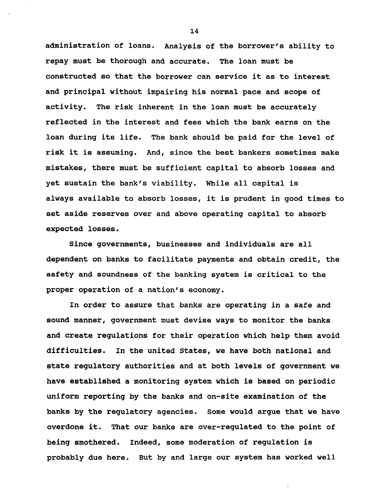**administration of loans. Analysis of the borrower's ability to repay must be thorough and accurate. The loan must be constructed so that the borrower can service it as to interest and principal without impairing his normal pace and scope of activity. The risk inherent in the loan must be accurately reflected in the interest and fees which the bank earns on the loan during its life. The bank should be paid for the level of risk it is assuming. And, since the best bankers sometimes make mistakes, there must be sufficient capital to absorb losses and yet sustain the bank's viability. While all capital is always available to absorb losses, it is prudent in good times to set aside reserves over and above operating capital to absorb expected losses.**

**Since governments, businesses and individuals are all dependent on banks to facilitate payments and obtain credit, the safety and soundness of the banking system is critical to the proper operation of a nation's economy.**

**In order to assure that banks are operating in a safe and sound manner, government must devise ways to monitor the banks and create regulations for their operation which help them avoid difficulties. In the united States, we have both national and state regulatory authorities and at both levels of government we have established a monitoring system which is based on periodic uniform reporting by the banks and on-site examination of the banks by the regulatory agencies. Some would argue that we have overdone it. That our banks are over-regulated to the point of being smothered. Indeed, some moderation of regulation is probably due here. But by and large our system has worked well**